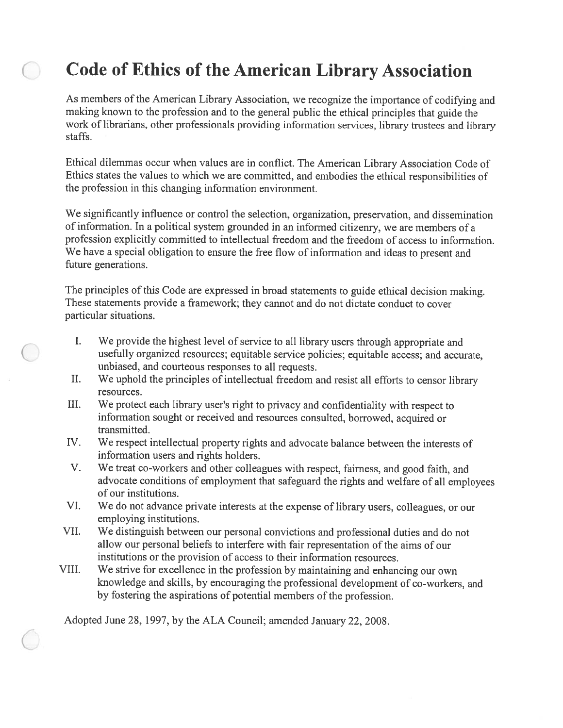# **Code of Ethics of the American Library Association**

As members of the American Library Association, we recognize the importance of codifying and making known to the profession and to the genera<sup>l</sup> public the ethical principles that guide the work of librarians, other professionals providing information services, library trustees and library staffs.

Ethical dilemmas occur when values are in conflict. The American Library Association Code of Ethics states the values to which we are committed, and embodies the ethical responsibilities of the profession in this changing information environment.

We significantly influence or control the selection, organization, preservation, and dissemination of information. In <sup>a</sup> political system grounded in an informed citizenry, we are members of <sup>a</sup> profession explicitly committed to intellectual freedom and the freedom of access to information. We have <sup>a</sup> special obligation to ensure the free flow of information and ideas to presen<sup>t</sup> and future generations.

The principles of this Code are expresse<sup>d</sup> in broad statements to guide ethical decision making. These statements provide <sup>a</sup> framework; they cannot and do not dictate conduct to cover particular situations.

- I. We provide the highest level of service to all library users through appropriate and usefully organized resources; equitable service policies; equitable access; and accurate, unbiased, and courteous responses to all requests.
- II. We uphold the principles of intellectual freedom and resist all efforts to censor library resources.
- III. We protect each library user's right to privacy and confidentiality with respec<sup>t</sup> to information sought or received and resources consulted, borrowed, acquired or transmitted.
- IV. We respec<sup>t</sup> intellectual property rights and advocate balance between the interests of information users and rights holders.
- V. We treat co-workers and other colleagues with respect, fairness, and goo<sup>d</sup> faith, and advocate conditions of employment that safeguard the rights and welfare of all employees of our institutions.
- VI. We do not advance private interests at the expense of library users, colleagues, or our employing institutions.
- VII. We distinguish between our persona<sup>l</sup> convictions and professional duties and do not allow our personal beliefs to interfere with fair representation of the aims of our institutions or the provision of access to their information resources.
- VIII. We strive for excellence in the profession by maintaining and enhancing our own knowledge and skills, by encouraging the professional development of co-workers, and by fostering the aspirations of potential members of the profession.

Adopted June 28, 1997, by the ALA Council; amended January 22, 2008.

 $\subset$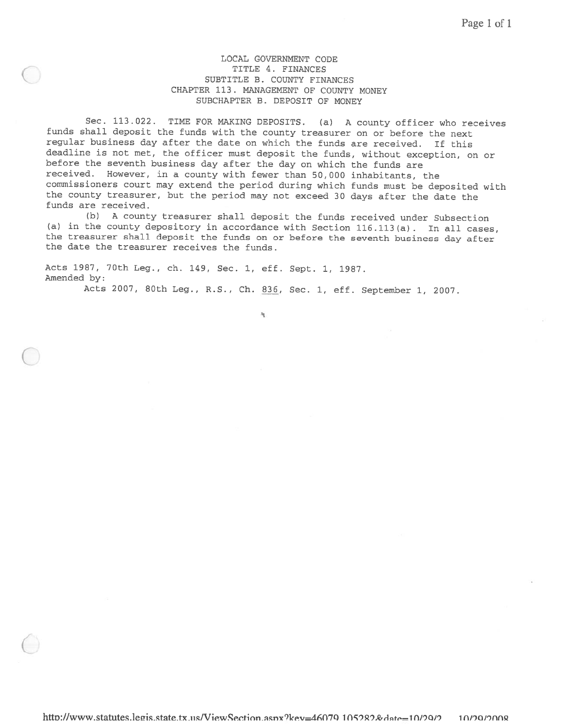#### LOCAL GOVERNMENT CODE TITLE 4. FINANCES SUBTITLE B. COUNTY FINANCES CHAPTER 113. MANAGEMENT OF COUNTY MONEY SUBCHAPTER B. DEPOSIT OF MONEY

Sec. 113.022. TIME FOR MAKING DEPOSITS. (a) <sup>A</sup> county officer who receives funds shall deposit the funds with the county treasurer on or before the next regular business day after the date on which the funds are received. If this deadline is not met, the officer must deposit the funds, without exception, on or before the seventh business day after the day on which the funds are received. However, in <sup>a</sup> county with fewer than 50,000 inhabitants, the commissioners court may extend the period during which funds must be deposited with the county treasurer, but the period may not exceed <sup>30</sup> days after the date the funds are received.

(b) <sup>A</sup> county treasurer shall deposit the funds received under Subsection (a) in the county depository in accordance with Section 116.113(a). In all cases, the treasurer shall deposit the funds on or before the seventh business day after the date the treasurer receives the funds.

Acts 1987, 70th Leg., ch. 149, Sec. 1, eff. Sept. 1, 1987. Amended by: Acts 2007, 80th Leg., R.S., Ch. 836, Sec. 1, eff. September 1, 2007.

1

 $\bigcirc$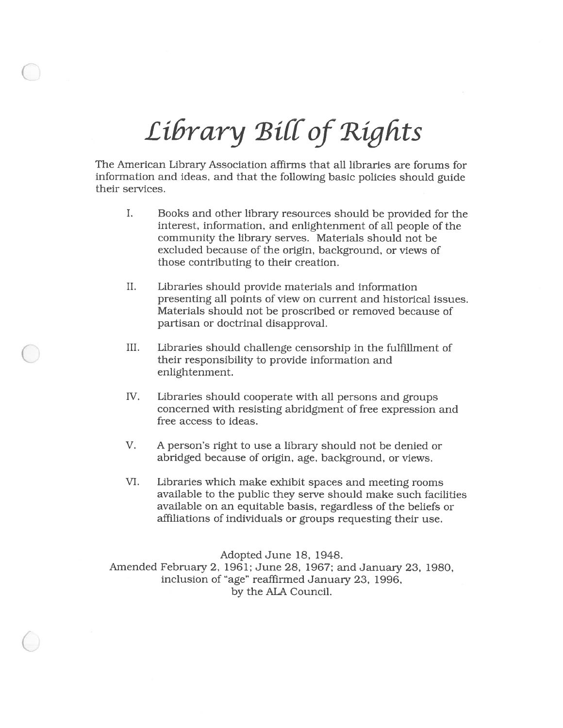# Library Bill of Rights

The American Library Association affirms that all libraries are forums for information and ideas, and that the following basic policies should guide their services.

- I. Books and other library resources should be provided for the interest, information, and enlightenment of all people of the community the library serves. Materials should not be excluded because of the origin, background, or views of those contributing to their creation.
- II. Libraries should provide materials and information presenting all points of view on current and historical issues. Materials should not be proscribed or removed because of partisan or doctrinal disapproval.
- III. Libraries should challenge censorship in the fulfillment of their responsibility to provide information and enlightenment.
- IV. Libraries should cooperate with all persons and groups concerned with resisting abridgment of free expression and free access to ideas.
- V. A person's right to use <sup>a</sup> library should not be denied or abridged because of origin, age, background, or views.
- VI. Libraries which make exhibit spaces and meeting rooms available to the public they serve should make such facilities available on an equitable basis, regardless of the beliefs or affiliations of individuals or groups requesting their use.

Adopted June 18, 1948. Amended February 2, 1961; June 28, 1967; and January 23, 1980, inclusion of "age" reaffirmed January 23, 1996, by the ALA Council.

C.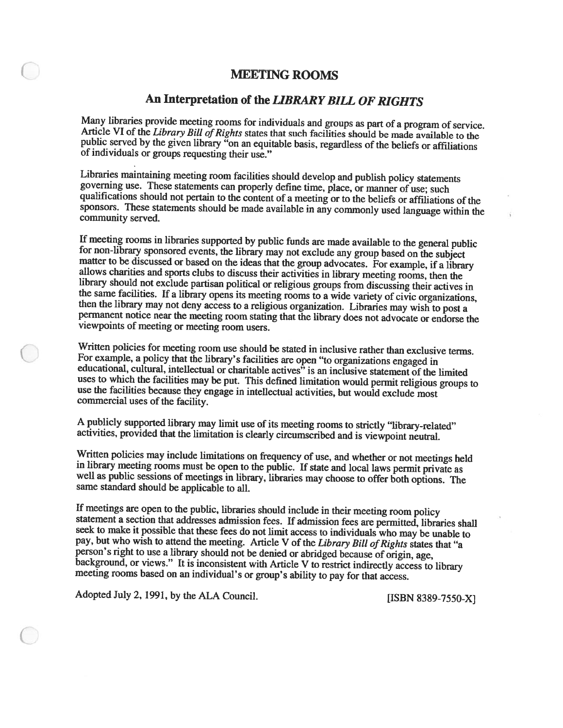#### MEETING ROOMS

# An Interpretation of the LiBRARY BiLL OF RIGHTS

Many libraries provide meeting rooms for individuals and groups as part of a program of service.<br>Article VI of the *Library Bill of Rights* states that such facilities should be made available to the<br>public served by the g

Libraries maintaining meeting room facilities should develop and publish policy statements governing use. These statements can properly define time, <sup>p</sup>lace, or manner of use; such qualifications should not pertain to the content of <sup>a</sup> meeting or to the beliefs or affiliations of the sponsors. These statements should be made available in any commonly used language within the community served.

If meeting rooms in libraries supported by public funds are made available to the general public<br>for non-library sponsored events, the library may not exclude any group based on the subject<br>matter to be discussed or based

Written policies for meeting room use should be stated in inclusive rather than exclusive terms.<br>For example, a policy that the library's facilities are open "to organizations engaged in educational, cultural, intellectual use the facilities because they engage in intellectual activities, but would exclude most commercial uses of the facility.

<sup>A</sup> publicly supported library may limit use of its meeting rooms to strictly "library-related" activities, provided that the limitation is clearly circumscribed and is viewpoint neutral.

Written policies may include limitations on frequency of use, and whether or not meetings held<br>in library meeting rooms must be open to the public. If state and local laws permit private as<br>well as public sessions of meeti same standard should be applicable to all.

If meetings are open to the public, libraries should include in their meeting room policy<br>statement a section that addresses admission fees. If admission fees are permitted, libraries shall<br>seek to make it possible that th pay, but who wish to attend the meeting. Article V of the Library Bill of Rights states that "a person's right to use a library should not be denied or abridged because of origin, age, background, or views." It is inconsistent with Article V to restrict indirectly access to library meeting rooms based on an individual's or group's ability to pay for that access.

Adopted July 2, 1991, by the ALA Council. [ISBN 8389-7550-X]

C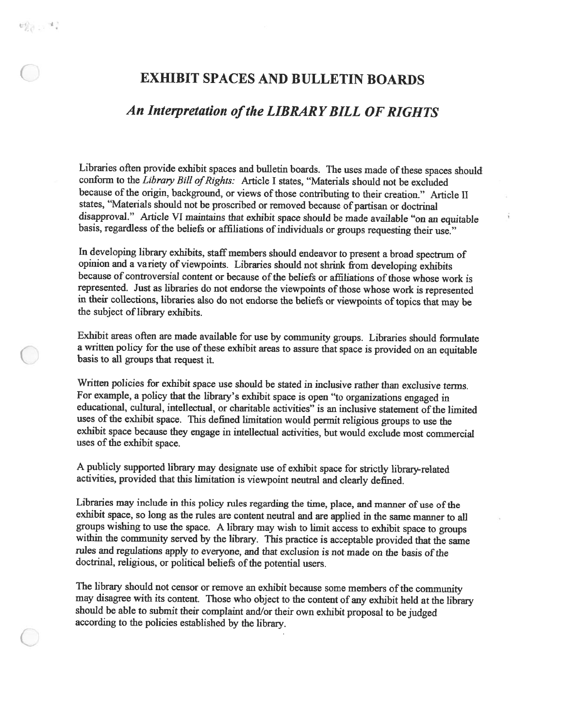# An Interpretation of the LIBRARY BILL OF RIGHTS

Libraries often provide exhibit spaces and bulletin boards. The uses made of these spaces should conform to the Library Bill of Rights: Article I states, "Materials should not be excluded because of the origin, background, or views of those contributing to their creation." Article II states, "Materials should not be proscribed or removed because of partisan or doctrinal<br>disapproval." Article VI maintains that exhibit space should be made available "on an equitable basis, regardless of the beliefs or affiliations of individuals or groups requesting their use."

In developing library exhibits, staff members should endeavor to present <sup>a</sup> broad spectrum of opinion and <sup>a</sup> variety of viewpoints. Libraries should not shrink from developing exhibits because of controversial content or because of the beliefs or affiliations of those whose work is represented. Just as libraries do not endorse the viewpoints of those whose work is represented in their collections, libraries also do not endorse the beliefs or viewpoints of topics that may be the subject of library exhibits.

Exhibit areas often are made available for use by community groups. Libraries should formulate a written policy for the use of these exhibit areas to assure that space is provided on an equitable basis to all groups that request it.

Written policies for exhibit space use should be stated in inclusive rather than exclusive terms.<br>For example, a policy that the library's exhibit space is open "to organizations engaged in educational, cultural, intellectual, or charitable activities" is an inclusive statement of the limited uses of the exhibit space. This defined limitation would permit religious groups to use the exhibit space because they engage in intellectual activities, but would exclude most commercial uses of the exhibit space.

A publicly supported library may designate use of exhibit space for strictly library-related activities, provided that this limitation is viewpoint neutral and clearly defined.

Libraries may include in this policy rules regarding the time, place, and manner of use of the exhibit space, so long as the rules are content neutral and are applied in the same manner to all groups wishing to use the space. A library may wish to limit access to exhibit space to groups within the community served by the library. This practice is acceptable provided that the same rules and regulations apply to everyone, and that exclusion is not made on the basis of the doctrinal, religious, or political beliefs of the potential users.

The library should not censor or remove an exhibit because some members of the community may disagree with its content. Those who object to the content of any exhibit held at the library should be able to submit their complaint and/or their own exhibit proposal to be judged according to the policies established by the library.

C

 $\mathbb{Z}^2_{\mathcal{L}(\mathbb{C}^2)}$  .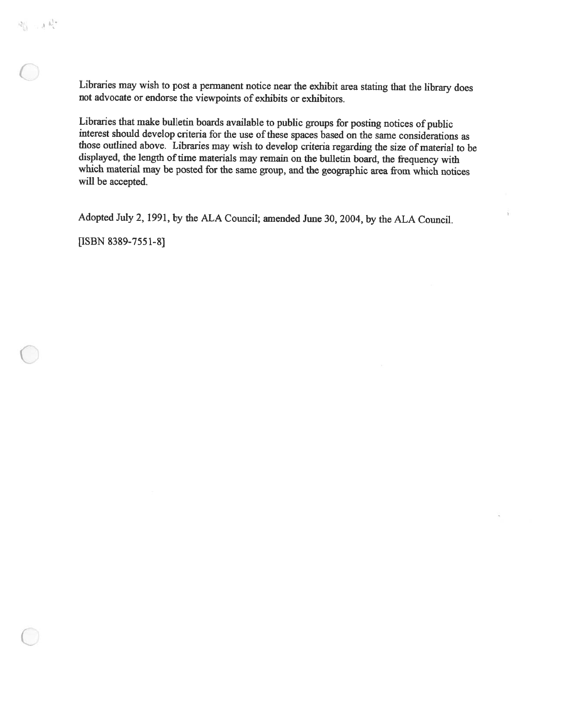Libraries may wish to post <sup>a</sup> permanent notice near the exhibit area stating that the library does not advocate or endorse the viewpoints of exhibits or exhibitors.

Libraries that make bulletin boards available to public groups for posting notices of public interest should develop criteria for the use ofthese spaces based on the same considerations as those outlined above. Libraries may wish to develop criteria regarding the size of material to be displayed, the length of time materials may remain on the bulletin board, the frequency with which material may be posted for the same group, and the geographic area from which notices will be accepted.

Adopted July 2, 1991, by the ALA Council; amended June 30, 2004, by the ALA Council.

[ISBN 8389-7551-8]

 $\Phi_{\rm b}^{\rm c} = - \lambda^{-k_{\rm b}^{\rm L} \star}$ 

 $\left( \begin{array}{c} \end{array} \right)$ 

C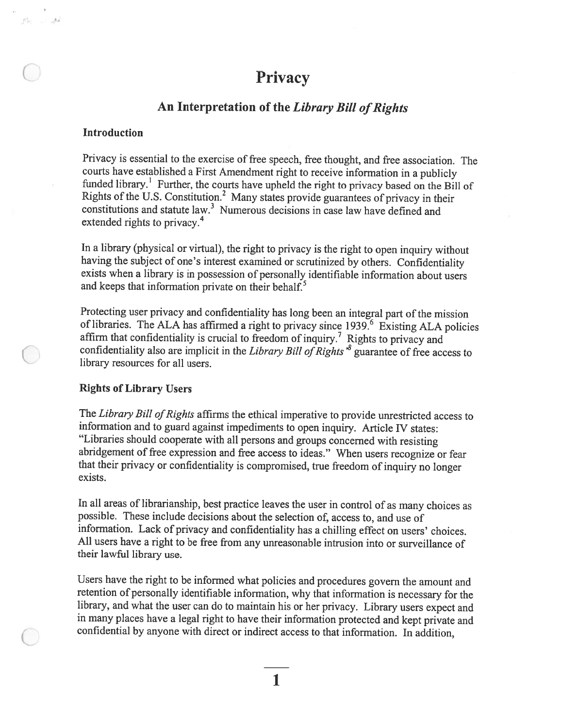# **Privacy**

### An Interpretation of the Library Bill of Rights

#### Introduction

 $\label{eq:11} f|_{\mathcal{C}} = \ldots = \mathcal{A}d$ 

Privacy is essential to the exercise of free speech, free thought, and free association. The courts have established <sup>a</sup> First Amendment right to receive information in <sup>a</sup> publicly funded library.' Further, the courts have upheld the right to privacy based on the Bill of Rights of the U.S. Constitution.<sup>2</sup> Many states provide guarantees of privacy in their constitutions and statute law.  $3$  Numerous decisions in case law have defined and extended rights to privacy.<sup>4</sup>

In <sup>a</sup> library (physical or virtual), the right to privacy is the right to open inquiry without having the subject of one's interest examined or scrutinized by others. Confidentiality exists when <sup>a</sup> library is in possession of personally identifiable information about users and keeps that information private on their behalf.<sup>5</sup>

Protecting user privacy and confidentiality has long been an integral part of the mission of libraries. The ALA has affirmed a right to privacy since 1939.<sup>6</sup> Existing ALA policies affirm that confidentiality is crucial to freedom of inquiry.<sup>7</sup> Rights to privacy and confidentiality also are implicit in the Library Bill of Rights  $\delta$  guarantee of free access to library resources for all users.

#### Rights of Library Users

The Library Bill of Rights affirms the ethical imperative to provide unrestricted access to information and to guard against impediments to open inquiry. Article IV states: "Libraries should cooperate with all persons and groups concerned with resisting abridgement of free expression and free access to ideas." When users recognize or fear that their privacy or confidentiality is compromised, true freedom of inquiry no longer exists.

In all areas of librarianship, best practice leaves the user in control of as many choices as possible. These include decisions about the selection of, access to, and use of information. Lack of privacy and confidentiality has <sup>a</sup> chilling effect on users' choices. All users have <sup>a</sup> right to be free from any unreasonable intrusion into or surveillance of their lawful library use.

Users have the right to be informed what policies and procedures govern the amount and retention of personally identifiable information, why that information is necessary for the library, and what the user can do to maintain his or her privacy. Library users expect and in many <sup>p</sup>laces have <sup>a</sup> legal right to have their information protected and kept private and confidential by anyone with direct or indirect access to that information. In addition,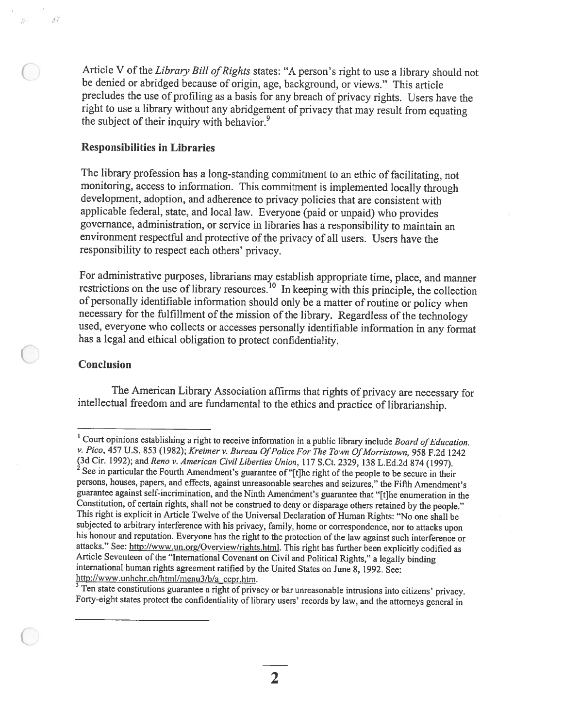Article V of the Library Bill of Rights states: "A person's right to use a library should not be denied or abridged because of origin, age, background, or views." This article precludes the use of profiling as <sup>a</sup> basis for any breach of privacy rights. Users have the right to use <sup>a</sup> library without any abridgement of privacy that may result from equating the subject of their inquiry with behavior.<sup>9</sup>

#### Responsibilities in Libraries

 $\mathcal{J}^{\mathcal{V}}$ 

**SE** 

The library profession has <sup>a</sup> long-standing commitment to an ethic of facilitating, not monitoring, access to information. This commitment is implemented locally through development, adoption, and adherence to privacy policies that are consistent with applicable federal, state, and local law. Everyone (paid or unpaid) who provides governance, administration, or service in libraries has <sup>a</sup> responsibility to maintain an environment respectful and protective of the privacy of all users. Users have the responsibility to respect each others' privacy.

For administrative purposes, librarians may establish appropriate time, <sup>p</sup>lace, and manner restrictions on the use of library resources.<sup>10</sup> In keeping with this principle, the collection of personally identifiable information should only be <sup>a</sup> matter of routine or policy when necessary for the fulfillment of the mission of the library. Regardless of the technology used, everyone who collects or accesses personally identifiable information in any format has <sup>a</sup> legal and ethical obligation to protect confidentiality.

#### Conclusion

 $\subset$ 

The American Library Association affirms that rights of privacy are necessary for intellectual freedom and are fundamental to the ethics and practice of librarianship.

Forty-eight states protect the confidentiality of library users' records by law, and the attorneys general in

2

<sup>&</sup>lt;sup>1</sup> Court opinions establishing a right to receive information in a public library include Board of Education. v. Pico, 457 U.S. 853 (1982); Kreimer v. Bureau Of Police For The Town Of Morristown, 958 F.2d 1242 (3d Cir. 1992); and *Reno v. American Civil Liberties Union*, 117 S.Ct. 2329, 138 L.Ed.2d 874 (1997).<br><sup>2</sup> See in particular the Fourth Amendment's guarantee of "[t]he right of the people to be secure in their

persons, houses, papers, and effects, against unreasonable searches and seizures," the Fifth Amendment's guarantee against self-incrimination, and the Ninth Amendment's guarantee that "[t]he enumeration in the This right is explicit in Article Twelve of the Universal Declaration of Human Rights: "No one shall be subjected to arbitrary interference with his privacy, family, home or correspondence, nor to attacks upon his honour and reputation. Everyone has the right to the protection of the law against such interference or attacks. Article Seventeen of the "International Covenant on Civil and Political Rights," a legally binding international human rights agreement ratified by the United States on June 8, 1992. See: http://www.unhchr.ch/html/menu3/b/a\_ccpr.htm.<br><sup>3</sup> Ten state constitutions guarantee a right of privacy or bar unreasonable intrusions into citizens' privacy.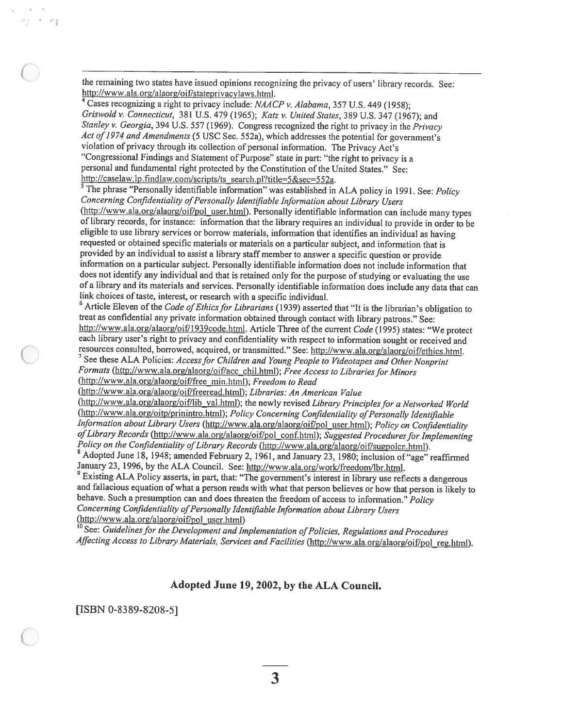the remaining two states have issued opinions recognizing the privacy of users' library records. See: http://www.ala.org/alaorg/oif/stateprivacylaws.html.

<sup>4</sup> Cases recognizing a right to privacy include:  $NAACP$  v. Alabama, 357 U.S. 449 (1958); Griswold v. Connecticut, 381 U.S. 479 (1965); Katz v. United States, 389 U.S. 347 (1967); and Stanley v. Georgia, 394 U.S. 557 (1969). Congress recognized the right to privacy in the Privacy Act of 1974 and Amendments (5 USC Sec. 552a), which addresses the potential for government's violation of privacy through its collection of personal information. The Privacy Act's "Congressional Findings and Statement of Purpose" state in part: "the right to privacy is <sup>a</sup> personal and fundamental right protected by the Constitution of the United States." See: http://caselaw.lp.findlaw.com/scripts/ts\_search.pl?title=5&sec=552a.

The phrase "Personally identifiable information" was established in ALA policy in 1991. See: Policy Concerning Confidentiality of Personally Identifiable Information about Library Users (http://www.ala.org/alaorg/oif/pol\_user.html). Personally identifiable information can include many types of library records, for instance: information that the library requires an individual to provide in order to be eligible to use library services or borrow materials, information that identifies an individual as having requested or obtained specific materials or materials on <sup>a</sup> particular subject, and information that is provided by an individual to assist <sup>a</sup> library staff member to answer <sup>a</sup> specific question or provide information on <sup>a</sup> particular subject. Personally identifiable information does not include information that does not identify any individual and that is retained only for the purpose of studying or evaluating the use of <sup>a</sup> library and its materials and services. Personally identifiable information does include any data that can

 $\frac{6}{10}$  Article Eleven of the *Code of Ethics for Librarians* (1939) asserted that "It is the librarian's obligation to treat as confidential any private information obtained through contact with library patrons." See:<br>http://www.ala.org/alaorg/oif/1939code.html. Article Three of the current *Code* (1995) states: "We protect each library user's right to privacy and confidentiality with respect to information sought or received and resources consulted, borrowed, acquired, or transmitted." See: http://www.ala.org/alaorg/oif/ethics.html.  $<sup>7</sup>$  See these ALA Policies: Access for Children and Young People to Videotapes and Other Nonprint</sup> Formats (http://www.ala.org/alaorg/oif/acc\_chil.html); Free Access to Libraries for Minors (http://www.ala.org/alaorg/oif/free min.html); Freedom to Read

(http://www.ala.org/alaorg/oif/freeread.html); Libraries: An American Value

(http://www.ala.org/alaorg/oif/lib\_val.html); the newly revised Library Principles for a Networked World (http://www.ala.org/oitp/prinintro.html); Policy Concerning Confidentiality of Personally Identifiable<br>Information about Library Users (http://www.ala.org/alaorg/oif/pol\_user.html); Policy on Confidentiality of Library Records (http://www.ala.org/alaorg/oif/pol\_conf.html); Suggested Procedures for Implementing<br>Policy on the Confidentiality of Library Records (http://www.ala.org/alaorg/oif/sugpolen.html).<br><sup>8</sup> Adopted June 18, 1

January 23, 1996, by the ALA Council. See: http://www.ala.org/work/freedom/lbr.html.

<sup>9</sup> Existing ALA Policy asserts, in part, that: "The government's interest in library use reflects a dangerous and fallacious equation of what a person reads with what that person believes or how that person is likely to b (http://www.ala.org/alaorg/oif/poluser.html)

Guidence Construction Control of Tennis Construction Constraints of Policies, Regulations and Procedures Affecting Access to Library Materials, Services and Facilities (http://www.ala.org/alaorg/oif/pol reg.html).

#### Adopted June 19, 2002, by the ALA Council.

[ISBN 0-8389-8208-5]

 $\bigcup$ 

 $\beta$   $\rightarrow$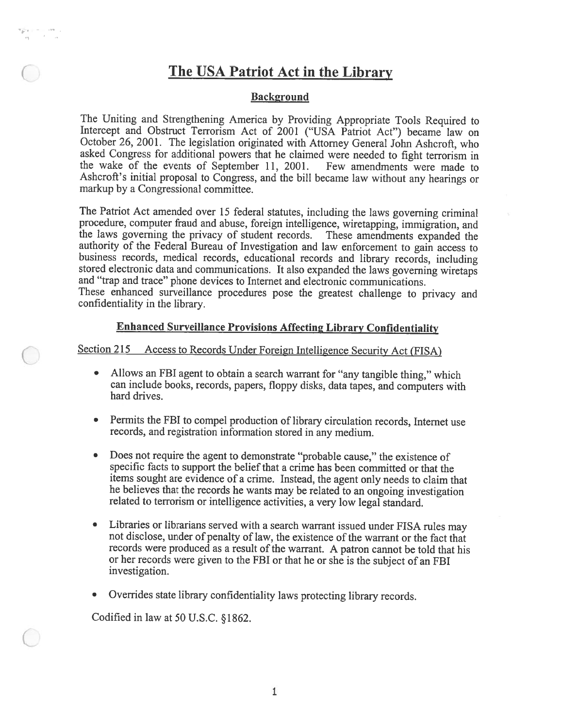# The USA Patriot Act in the Library

#### Background

The Uniting and Strengthening America by Providing Appropriate Tools Required to Intercept and Obstruct Terrorism Act of <sup>2001</sup> ("USA Patriot Act") became law on October 26, 2001. The legislation originated with Attorney General John Ashcroft, who the wake of the events of September 11, 2001. Few amendments were made to Ashcroft's initial proposal to Congress, and the bill became law without any hearings or markup by <sup>a</sup> Congressional committee.

The Patriot Act amended over 15 federal statutes, including the laws governing criminal procedure, computer fraud and abuse, foreign intelligence, wiretapping, immigration, and the laws governing the privacy of student rec

These enhanced surveillance procedures pose the greatest challenge to privacy and confidentiality in the library.

#### Enhanced Surveillance Provisions Affecting Library Confidentiality

Section <sup>215</sup> Access to Records Under Foreign Intelligence Security Act (FISA)

- • Allows an FBI agent to obtain <sup>a</sup> search warrant for "any tangible thing," which can include books, records, papers, floppy disks, data tapes, and computers with hard drives.
- Permits the FBI to compe<sup>l</sup> production of library circulation records, Internet use records, and registration information stored in any medium.
- • Does not require the agent to demonstrate "probable cause," the existence of specific facts to support the belief that a crime has been committed or that the items sought are evidence of a crime. Instead, the agent only needs to claim that<br>he believes that the records he wants may be related to an ongoing investigation<br>related to terrorism or intelligence activities, a very low
- • Libraries or librarians served with <sup>a</sup> search warrant issued under FISA rules may not disclose, under of penalty of law, the existence of the warrant or the fact that records were produced as a result of the warrant. A patron cannot be told that his or her records were <sup>g</sup>iven to the FBI or that he or she is the subject of an FBI investigation.
- Overrides state library confidentiality laws protecting library records.

Codified in law at <sup>50</sup> U.S.C. § 1862.

C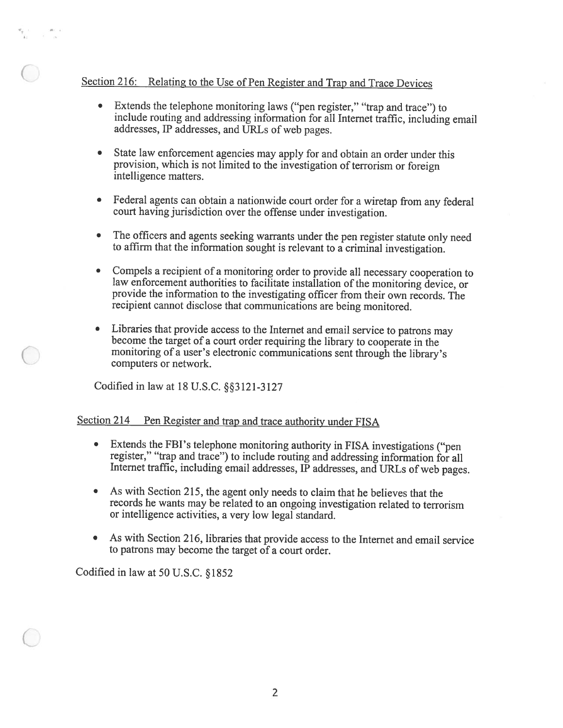#### Section 216: Relating to the Use of Pen Register and Trap and Trace Devices

- • Extends the telephone monitoring laws ("pen register," "trap and trace") to include routing and addressing information for all Internet traffic, including email addresses, IP addresses, and URLs of web pages.
- • State law enforcement agencies may apply for and obtain an order under this provision, which is not limited to the investigation of terrorism or foreign intelligence matters.
- • Federal agents can obtain <sup>a</sup> nationwide court order for <sup>a</sup> wiretap from any federal court having jurisdiction over the offense under investigation.
- • The officers and agents seeking warrants under the pen register statute only need to affirm that the information sought is relevant to <sup>a</sup> criminal investigation.
- •Compels a recipient of a monitoring order to provide all necessary cooperation to law enforcement authorities to facilitate installation of the monitoring device, or provide the information to the investigating officer fro recipient cannot disclose that communications are being monitored.
- •Libraries that provide access to the Internet and email service to patrons may<br>become the target of a court order requiring the library to cooperate in the<br>monitoring of a user's electronic communications sent through the computers or network.

Codified in law at 18 U.S.C. §3121-3 127

## Section 214 Pen Register and trap and trace authority under FISA

- • Extends the FBI's telephone monitoring authority in FISA investigations ("pen register," "trap and trace") to include routing and addressing information for all Internet traffic, including email addresses, IP addresses, and URLs of web pages.
- • As with Section 215, the agent only needs to claim that he believes that the records he wants may be related to an ongoing investigation related to terrorism or intelligence activities, <sup>a</sup> very low legal standard.
- • As with Section 216, libraries that provide access to the Internet and email service to patrons may become the target of <sup>a</sup> court order.

Codified in law at <sup>50</sup> U.S.C. § <sup>1852</sup>

 $\subset$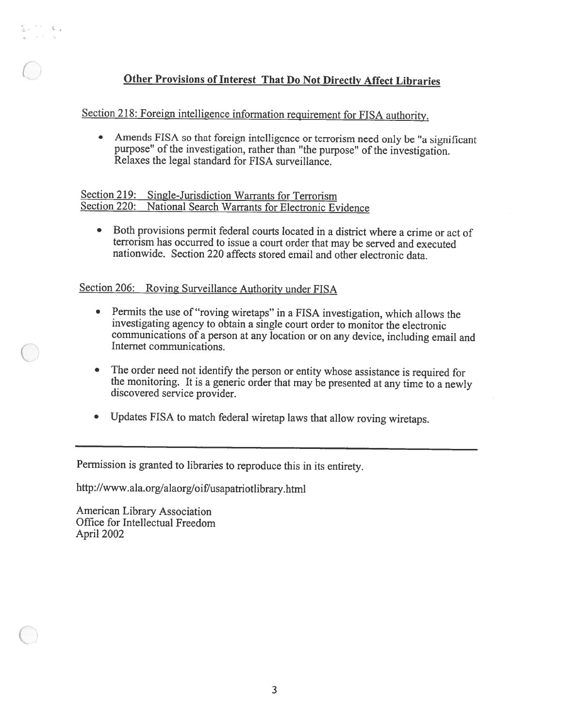# Other Provisions of Interest That Do Not Directly Affect Libraries

### Section 218: Foreign intelligence information requirement for FISA authority.

• Amends FISA so that foreign intelligence or terrorism need only be "a significant purpose" of the investigation, rather than "the purpose" of the investigation. Relaxes the legal standard for FISA surveillance.

#### Section 219: Single-Jurisdiction Warrants for Terrorism<br>Section 220: National Search Warrants for Electronic Ex National Search Warrants for Electronic Evidence

• Both provisions permit federal courts located in <sup>a</sup> district where <sup>a</sup> crime or act of terrorism has occurred to issue <sup>a</sup> court order that may be served and executed nationwide. Section 220 affects stored email and other electronic data.

#### Section 206: Roving Surveillance Authority under FISA

- $\bullet$  Permits the use of "roving wiretaps" in <sup>a</sup> FISA investigation, which allows the investigating agency to obtain <sup>a</sup> single court order to monitor the electronic communications of <sup>a</sup> person at any location or on any device, including email and Internet communications.
- •The order need not identify the person or entity whose assistance is required for the monitoring. It is <sup>a</sup> generic order that may be presented at any time to <sup>a</sup> newly discovered service provider.
- •Updates FISA to match federal wiretap laws that allow roving wiretaps.

Permission is granted to libraries to reproduce this in its entirety.

http://www.ala.org/alaorg/oif/usapatriotlibrary.html

American Library Association Office for Intellectual Freedom April 2002

 $\ldots$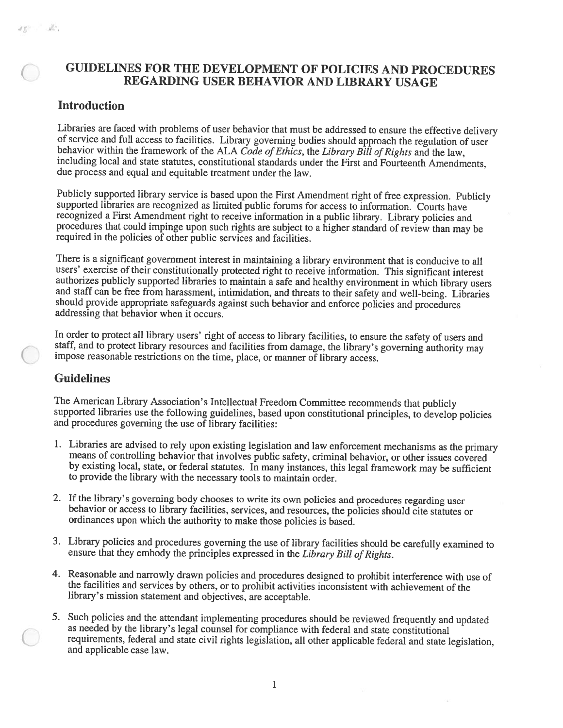## GUIDELINES FOR THE DEVELOPMENT OF POLICIES AND PROCEDURES REGARDING USER BEHAVIOR AND LIBRARY USAGE

## Introduction

.1," .'.

Libraries are faced with problems of user behavior that must be addressed to ensure the effective delivery<br>of service and full access to facilities. Library governing bodies should approach the regulation of user<br>behavior

Publicly supported library service is based upon the First Amendment right of free expression. Publicly supported libraries are recognized as limited public forums for access to information. Courts have recognized a First procedures that could impinge upon such rights are subject to a higher standard of review than may be required in the policies of other public services and facilities.

There is a significant government interest in maintaining a library environment that is conducive to all users' exercise of their constitutionally protected right to receive information. This significant interest authorizes publicly supported libraries to maintain a safe and healthy environment in which library users<br>and staff can be free from harassment, intimidation, and threats to their safety and well-being. Libraries<br>should pr

In order to protect all library users' right of access to library facilities, to ensure the safety of users and staff, and to protect library resources and facilities from damage, the library's governing authority may impo

# Guidelines

The American Library Association's Intellectual Freedom Committee recommends that publicly<br>supported libraries use the following guidelines, based upon constitutional principles, to develop policies<br>and procedures governin

- 1. Libraries are advised to rely upon existing legislation and law enforcement mechanisms as the primary means of controlling behavior that involves public safety, criminal behavior, or other issues covered by existing local, state, or federal statutes. In many instances, this legal framework may be sufficient to provide the library with the necessary tools to maintain order.
- 2. If the library's governing body chooses to write its own policies and procedures regarding user behavior or access to library facilities, services, and resources, the policies should cite statutes or ordinances upon whi
- 3. Library policies and procedures governing the use of library facilities should be carefully examined to ensure that they embody the principles expressed in the Library Bill of Rights.
- 4. Reasonable and narrowly drawn policies and procedures designed to prohibit interference with use of the facilities and services by others, or to prohibit activities inconsistent with achievement of the library's mission statement and objectives, are acceptable.
- 5. Such policies and the attendant implementing procedures should be reviewed frequently and updated as needed by the library's legal counsel for compliance with federal and state constitutional requirements, federal and state civil rights legislation, all other applicable federal and state legislation, and applicable case law.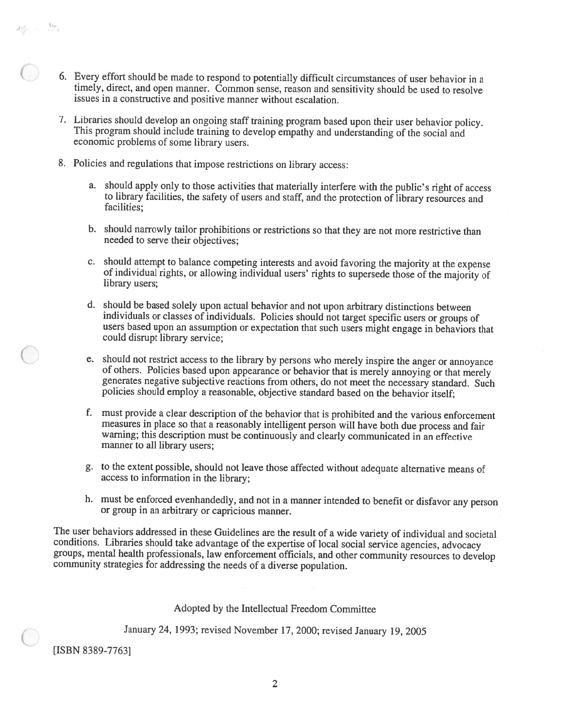- 6. Every effort should be made to respond to potentially difficult circumstances of user behavior in <sup>a</sup> timely, direct, and open manner. Common sense, reason and sensitivity should be used to resolve issues in <sup>a</sup> constructive and positive manner without escalation.
- 7. Libraries should develop an ongoing staff training program based upon their user behavior policy.<br>This program should include training to develop empathy and understanding of the social and economic problems of some lib
- 8. Policies and regulations that impose restrictions on library access:
	- a. should apply only to those activities that materially interfere with the public's right of access to library facilities, the safety of users and staff, and the protection of library resources and facilities;
	- b. should narrowly tailor prohibitions or restrictions so that they are not more restrictive than needed to serve their objectives;
	- c. should attempt to balance competing interests and avoid favoring the majority at the expense of individual rights, or allowing individual users' rights to supersede those of the majority of library users;
	- d. should be based solely upon actual behavior and not upon arbitrary distinctions between individuals or classes of individuals. Policies should not target specific users or groups of users based upon an assumption or expectation that such users might engage in behaviors that could disrupt library service;
	- e. should not restrict access to the library by persons who merely inspire the anger or annoyance of others. Policies based upon appearance or behavior that is merely annoying or that merely generates negative subjective r policies should employ <sup>a</sup> reasonable, objective standard based on the behavior itself;
	- f. must provide <sup>a</sup> clear description of the behavior that is prohibited and the various enforcement warning; this description must be continuously and clearly communicated in an effective manner to all library users;
	- g. to the extent possible, should not leave those affected without adequate alternative means of access to information in the library;
	- h. must be enforced evenhandedly, and not in <sup>a</sup> manner intended to benefit or disfavor any person or group in an arbitrary or capricious manner.

The user behaviors addressed in these Guidelines are the result of <sup>a</sup> wide variety of individual and societal conditions. Libraries should take advantage of the expertise of local social service agencies, advocacy groups, mental health professionals, law enforcement officials, and other community resources to develop community strategies for addressing the needs of <sup>a</sup> diverse population.

#### Adopted by the Intellectual Freedom Committee

January 24, 1993; revised November 17, 2000; revised January 19, 2005<br>[ISBN 8389-7763]

四、 四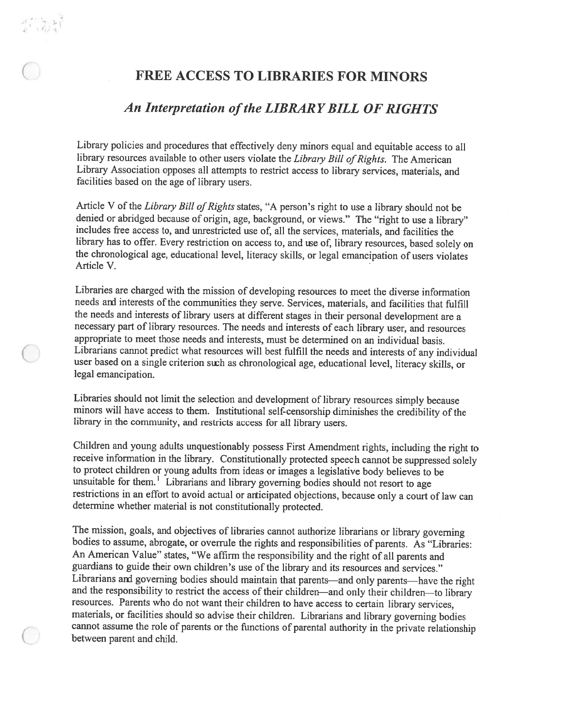# FREE ACCESS TO LIBRARIES FOR MINORS

# An Interpretation of the LIBRARY BILL OF RIGHTS

Library policies and procedures that effectively deny minors equal and equitable access to all library resources available to other users violate the Library Bill of Rights. The American Library Association opposes all attempts to restrict access to library services, materials, and facilities based on the age of library users.

Article V of the *Library Bill of Rights* states, "A person's right to use a library should not be denied or abridged because of origin, age, background, or views." The "right to use a library" includes free access to, and unrestricted use of, all the services, materials, and facilities the library has to offer. Every restriction on access to, and use of, library resources, based solely on the chronological age, educational level, literacy skills, or legal emancipation of users violates Article V.

Libraries are charged with the mission of developing resources to meet the diverse information needs and interests of the communities they serve. Services, materials, and facilities that fulfill the needs and interests of library users at different stages in their personal development are <sup>a</sup> necessary part of library resources. The needs and interests of each library user, and resources appropriate to meet those needs and interests, must be determined on an individual basis. Librarians carmot predict what resources will best fulfill the needs and interests of any individual user based on a single criterion such as chronological age, educational level, literacy skills, or legal emancipation.

Libraries should not limit the selection and development of library resources simply because minors will have access to them. Institutional self-censorship diminishes the credibility of the library in the community, and restricts access for all library users.

Children and young adults unquestionably possess First Amendment rights, including the right to receive information in the library. Constitutionally protected speech cannot be suppressed solely to protect children or young adults from ideas or images <sup>a</sup> legislative body believes to be unsuitable for them.' Librarians and library governing bodies should not resort to age restrictions in an effort to avoid actual or anticipated objections, because only <sup>a</sup> court of law can determine whether material is not constitutionally protected.

The mission, goals, and objectives of libraries cannot authorize librarians or library governing bodies to assume, abrogate, or overrule the rights and responsibilities of parents. As "Libraries: An American Value" states, "We affirm the responsibility and the right of all parents and guardians to guide their own children's use of the library and its resources and services." Librarians and governing bodies should maintain that parents—and only parents—have the right and the responsibility to restrict the access of their children—and only their children—to library resources. Parents who do not want their children to have access to certain library services, materials, or facilities should so advise their children. Librarians and library governing bodies cannot assume the role of parents or the functions of parental authority in the private relationship between parent and child.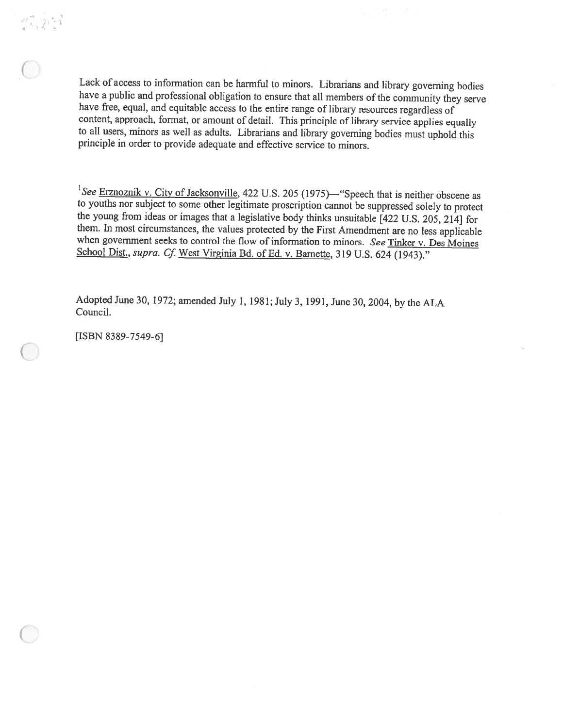Lack of access to information can be harmful to minors. Librarians and library governing bodies<br>have a public and professional obligation to ensure that all members of the community they serve<br>have free, equal, and equitab content, approach, format, or amount of detail. This principle of library service applies equally to all users, minors as well as adults. Librarians and library governing bodies must uphold this principle in order to provide adequate and effective service to minors.

<sup>1</sup>See Erznoznik v. City of Jacksonville, 422 U.S. 205 (1975)— "Speech that is neither obscene as to youths nor subject to some other legitimate proscription cannot be suppressed solely to protect the young from ideas or images that a legislative body thinks unsuitable [422 U.S. 205, 214] for<br>them. In most circumstances, the values protected by the First Amendment are no less applicable<br>when government seeks to cont School Dist., supra. Cf. West Virginia Bd. of Ed. v. Barnette, 319 U.S. 624 (1943)."

Adopted June 30, 1972; amended July 1, 1981; July 3, 1991, June 30, 2004, by the ALA Council.

[ISBN 8389-7549-6]

 $\bigcirc$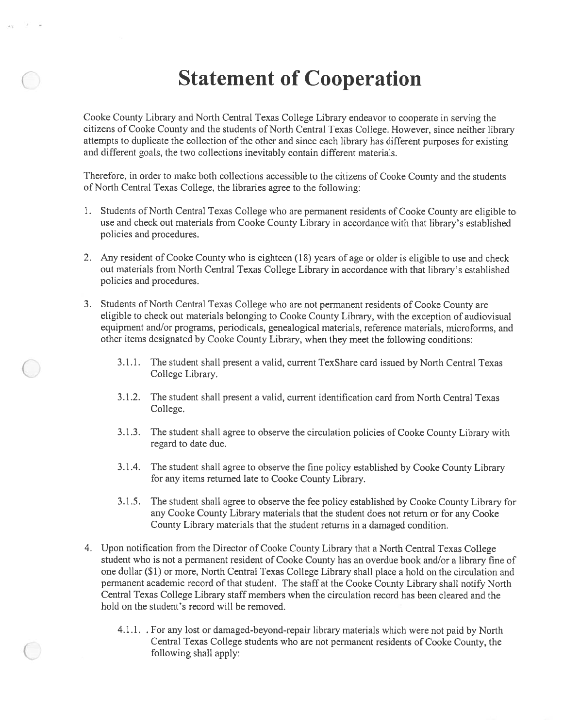# Statement of Cooperation

Cooke County Library and North Central Texas College Library endeavor to cooperate in serving the citizens of Cooke County and the students of North Central Texas College. However, since neither library attempts to duplicate the collection of the other and since each library has different purposes for existing and different goals, the two collections inevitably contain different materials.

Therefore, in order to make both collections accessible to the citizens of Cooke County and the students of North Central Texas College, the libraries agree to the following:

- 1. Students of North Central Texas College who are permanen<sup>t</sup> residents of Cooke County are eligible to use and check out materials from Cooke County Library in accordance with that library's established policies and procedures.
- 2. Any resident of Cooke County who is eighteen (18) years of age or older is eligible to use and check out materials from North Central Texas College Library in accordance with that library's established policies and procedures.
- 3. Students of North Central Texas College who are not permanen<sup>t</sup> residents of Cooke County are eligible to check out materials belonging to Cooke County Library, with the exception of audiovisual equipment and/or programs, periodicals, genealogical materials, reference materials, microforms, and other items designated by Cooke County Library, when they meet the following conditions:
	- 3.1 .1. The student shall presen<sup>t</sup> <sup>a</sup> valid, current TexShare card issued by North Central Texas College Library.
	- 3.1.2. The student shall presen<sup>t</sup> <sup>a</sup> valid, current identification card from North Central Texas College.
	- 3.1.3. The student shall agree to observe the circulation policies of Cooke County Library with regard to date due.
	- 3.1.4. The student shall agree to observe the fine policy established by Cooke County Library for any items returned late to Cooke County Library.
	- 3.1.5. The student shall agree to observe the fee policy established by Cooke County Library for any Cooke County Library materials that the student does not return or for any Cooke County Library materials that the student returns in <sup>a</sup> damaged condition.
- 4. Upon notification from the Director of Cooke County Library that <sup>a</sup> North Central Texas College student who is not <sup>a</sup> permanen<sup>t</sup> resident of Cooke County has an overdue book and/or <sup>a</sup> library fine of one dollar (SI) or more, North Central Texas College Library shall place <sup>a</sup> hold on the circulation and permanen<sup>t</sup> academic record of that student. The staff at the Cooke County Library shall notify North Central Texas College Library staff members when the circulation record has been cleared and the hold on the student's record will be removed.
	- 4.1.1. . For any lost or damaged-beyond-repair library materials which were not paid by North Central Texas College students who are not permanent residents of Cooke County, the following shall apply: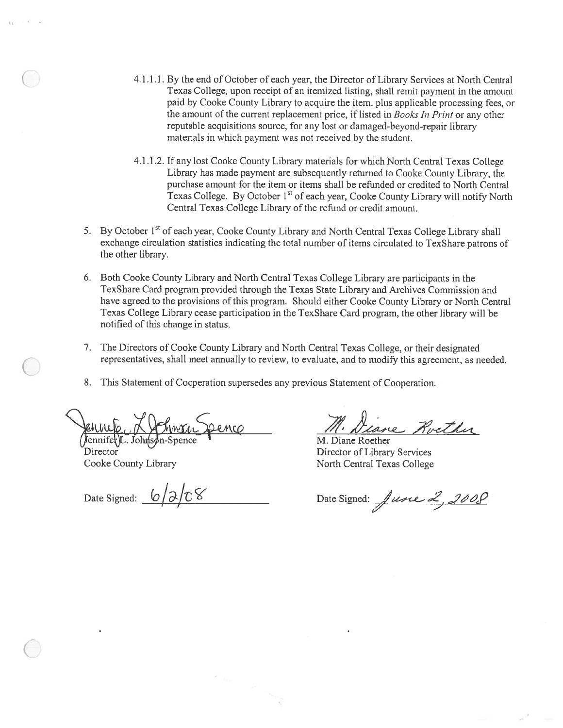- 4.1.1.1. By the end of October of each year, the Director of Library Services at North Central Texas College, upon receipt of an itemized listing, shall remit paymen<sup>t</sup> in the amount paid by Cooke County Library to acquire the item, <sup>p</sup>lus applicable processing fees, or the amount of the current replacement price, if listed in Books In Print or any other reputable acquisitions source, for any lost or damaged-beyond-repair library materials in which paymen<sup>t</sup> was not received by the student. 4.1.1.1. By the end of October of each year, the Director of Library Services at North reass College, upon receipt of an itemized itsing, shall remit payment in the paid by Cooke County Library to acquire the tiem, phis a
	- 4.1.1 .2. If any lost Cooke County Library materials for which North Central Texas College Library has made paymen<sup>t</sup> are subsequently returned to Cooke County Library, the purchase amount for the item or items shall be refunded or credited to North Central Texas College. By October 1<sup>st</sup> of each year, Cooke County Library will notify North Central Texas College Library of the refund or credit amount.
- 5. By October 1st of each year, Cooke County Library and North Central Texas College Library shall exchange circulation statistics indicating the total number of items circulated to TexShare patrons of the other library.
- 6. Both Cooke County Library and North Central Texas College Library are participants in the TexShare Card program provided through the Texas State Library and Archives Commission and have agreed to the provisions of this program. Should either Cooke County Library or North Central Texas College Library cease participation in the TexShare Card program, the other library will be notified of this change in status.
- 7. The Directors of Cooke County Library and North Central Texas College, or their designated representatives, shall meet annually to review, to evaluate, and to modify this agreement, as needed.
- 8. This Statement of Cooperation supersedes any previous Statement of Cooperation.

Jennifel L. Johnson-Spence W. Diane Roether

 $\subset$ 

Director Director **Director Director Director O** Cooke County Library North Central Texas College